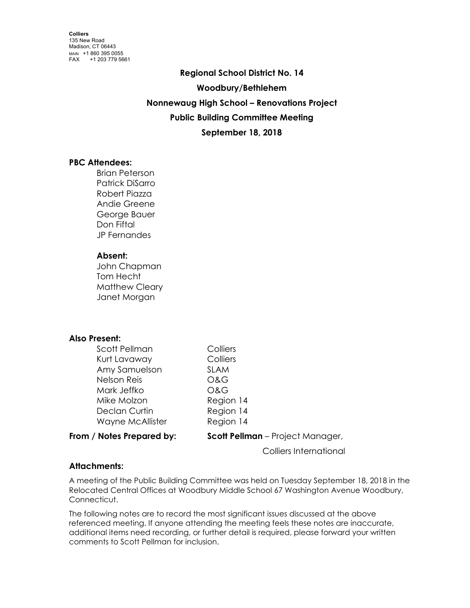**Regional School District No. 14 Woodbury/Bethlehem Nonnewaug High School – Renovations Project Public Building Committee Meeting September 18, 2018**

# **PBC Attendees:**

Brian Peterson Patrick DiSarro Robert Piazza Andie Greene George Bauer Don Fiftal JP Fernandes

#### **Absent:**

John Chapman Tom Hecht Matthew Cleary Janet Morgan

# **Also Present:**

Scott Pellman Colliers Kurt Lavaway Colliers Amy Samuelson SLAM Nelson Reis O&G Mark Jeffko O&G Mike Molzon **Region 14** Declan Curtin Region 14 Wayne McAllister Region 14

**From / Notes Prepared by: Scott Pellman** – Project Manager,

Colliers International

# **Attachments:**

A meeting of the Public Building Committee was held on Tuesday September 18, 2018 in the Relocated Central Offices at Woodbury Middle School 67 Washington Avenue Woodbury, Connecticut.

The following notes are to record the most significant issues discussed at the above referenced meeting. If anyone attending the meeting feels these notes are inaccurate, additional items need recording, or further detail is required, please forward your written comments to Scott Pellman for inclusion.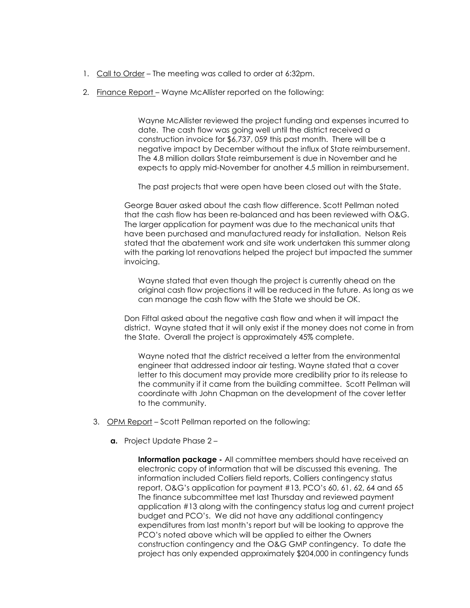- 1. Call to Order The meeting was called to order at 6:32pm.
- 2. Finance Report Wayne McAllister reported on the following:

Wayne McAllister reviewed the project funding and expenses incurred to date. The cash flow was going well until the district received a construction invoice for \$6,737, 059 this past month. There will be a negative impact by December without the influx of State reimbursement. The 4.8 million dollars State reimbursement is due in November and he expects to apply mid-November for another 4.5 million in reimbursement.

The past projects that were open have been closed out with the State.

George Bauer asked about the cash flow difference. Scott Pellman noted that the cash flow has been re-balanced and has been reviewed with O&G. The larger application for payment was due to the mechanical units that have been purchased and manufactured ready for installation. Nelson Reis stated that the abatement work and site work undertaken this summer along with the parking lot renovations helped the project but impacted the summer invoicing.

Wayne stated that even though the project is currently ahead on the original cash flow projections it will be reduced in the future. As long as we can manage the cash flow with the State we should be OK.

Don Fiftal asked about the negative cash flow and when it will impact the district. Wayne stated that it will only exist if the money does not come in from the State. Overall the project is approximately 45% complete.

Wayne noted that the district received a letter from the environmental engineer that addressed indoor air testing. Wayne stated that a cover letter to this document may provide more credibility prior to its release to the community if it came from the building committee. Scott Pellman will coordinate with John Chapman on the development of the cover letter to the community.

- 3. OPM Report Scott Pellman reported on the following:
	- **a.** Project Update Phase 2 –

**Information package -** All committee members should have received an electronic copy of information that will be discussed this evening. The information included Colliers field reports, Colliers contingency status report, O&G's application for payment #13, PCO's 60, 61, 62, 64 and 65 The finance subcommittee met last Thursday and reviewed payment application #13 along with the contingency status log and current project budget and PCO's. We did not have any additional contingency expenditures from last month's report but will be looking to approve the PCO's noted above which will be applied to either the Owners construction contingency and the O&G GMP contingency. To date the project has only expended approximately \$204,000 in contingency funds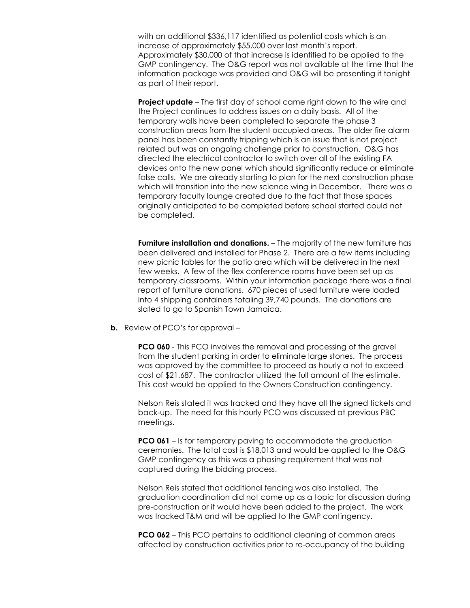with an additional \$336,117 identified as potential costs which is an increase of approximately \$55,000 over last month's report. Approximately \$30,000 of that increase is identified to be applied to the GMP contingency. The O&G report was not available at the time that the information package was provided and O&G will be presenting it tonight as part of their report.

**Project update** – The first day of school came right down to the wire and the Project continues to address issues on a daily basis. All of the temporary walls have been completed to separate the phase 3 construction areas from the student occupied areas. The older fire alarm panel has been constantly tripping which is an issue that is not project related but was an ongoing challenge prior to construction. O&G has directed the electrical contractor to switch over all of the existing FA devices onto the new panel which should significantly reduce or eliminate false calls. We are already starting to plan for the next construction phase which will transition into the new science wing in December. There was a temporary faculty lounge created due to the fact that those spaces originally anticipated to be completed before school started could not be completed.

**Furniture installation and donations.** – The majority of the new furniture has been delivered and installed for Phase 2. There are a few items including new picnic tables for the patio area which will be delivered in the next few weeks. A few of the flex conference rooms have been set up as temporary classrooms. Within your information package there was a final report of furniture donations. 670 pieces of used furniture were loaded into 4 shipping containers totaling 39,740 pounds. The donations are slated to go to Spanish Town Jamaica.

**b.** Review of PCO's for approval –

**PCO 060** - This PCO involves the removal and processing of the gravel from the student parking in order to eliminate large stones. The process was approved by the committee to proceed as hourly a not to exceed cost of \$21,687. The contractor utilized the full amount of the estimate. This cost would be applied to the Owners Construction contingency.

Nelson Reis stated it was tracked and they have all the signed tickets and back-up. The need for this hourly PCO was discussed at previous PBC meetings.

**PCO 061** – Is for temporary paving to accommodate the graduation ceremonies. The total cost is \$18,013 and would be applied to the O&G GMP contingency as this was a phasing requirement that was not captured during the bidding process.

Nelson Reis stated that additional fencing was also installed. The graduation coordination did not come up as a topic for discussion during pre-construction or it would have been added to the project. The work was tracked T&M and will be applied to the GMP contingency.

**PCO 062** – This PCO pertains to additional cleaning of common areas affected by construction activities prior to re-occupancy of the building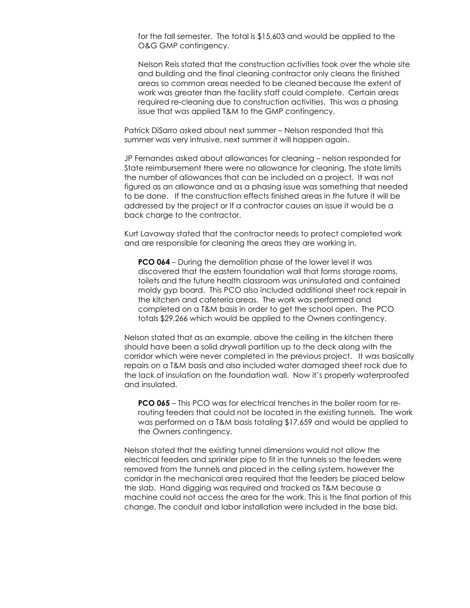for the fall semester. The total is \$15,603 and would be applied to the O&G GMP contingency.

Nelson Reis stated that the construction activities took over the whole site and building and the final cleaning contractor only cleans the finished areas so common areas needed to be cleaned because the extent of work was greater than the facility staff could complete. Certain areas required re-cleaning due to construction activities. This was a phasing issue that was applied T&M to the GMP contingency.

Patrick DiSarro asked about next summer – Nelson responded that this summer was very intrusive, next summer it will happen again.

JP Fernandes asked about allowances for cleaning – nelson responded for State reimbursement there were no allowance for cleaning. The state limits the number of allowances that can be included on a project. It was not figured as an allowance and as a phasing issue was something that needed to be done. If the construction effects finished areas in the future it will be addressed by the project or If a contractor causes an issue it would be a back charge to the contractor.

Kurt Lavaway stated that the contractor needs to protect completed work and are responsible for cleaning the areas they are working in.

**PCO 064** – During the demolition phase of the lower level it was discovered that the eastern foundation wall that forms storage rooms, toilets and the future health classroom was uninsulated and contained moldy gyp board. This PCO also included additional sheet rock repair in the kitchen and cafeteria areas. The work was performed and completed on a T&M basis in order to get the school open. The PCO totals \$29,266 which would be applied to the Owners contingency.

Nelson stated that as an example, above the ceiling in the kitchen there should have been a solid drywall partition up to the deck along with the corridor which were never completed in the previous project. It was basically repairs on a T&M basis and also included water damaged sheet rock due to the lack of insulation on the foundation wall. Now it's properly waterproofed and insulated.

**PCO 065** – This PCO was for electrical trenches in the boiler room for rerouting feeders that could not be located in the existing tunnels. The work was performed on a T&M basis totaling \$17,659 and would be applied to the Owners contingency.

Nelson stated that the existing tunnel dimensions would not allow the electrical feeders and sprinkler pipe to fit in the tunnels so the feeders were removed from the tunnels and placed in the celling system, however the corridor in the mechanical area required that the feeders be placed below the slab. Hand digging was required and tracked as T&M because a machine could not access the area for the work. This is the final portion of this change. The conduit and labor installation were included in the base bid.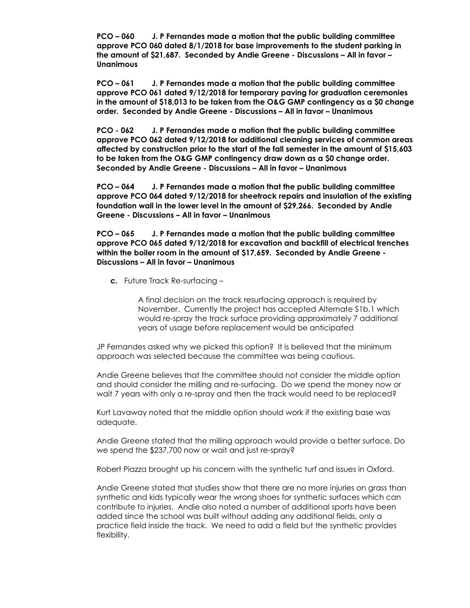**PCO – 060 J. P Fernandes made a motion that the public building committee approve PCO 060 dated 8/1/2018 for base improvements to the student parking in the amount of \$21,687. Seconded by Andie Greene - Discussions – All in favor – Unanimous**

**PCO – 061 J. P Fernandes made a motion that the public building committee approve PCO 061 dated 9/12/2018 for temporary paving for graduation ceremonies in the amount of \$18,013 to be taken from the O&G GMP contingency as a \$0 change order. Seconded by Andie Greene - Discussions – All in favor – Unanimous**

**PCO - 062 J. P Fernandes made a motion that the public building committee approve PCO 062 dated 9/12/2018 for additional cleaning services of common areas affected by construction prior to the start of the fall semester in the amount of \$15,603 to be taken from the O&G GMP contingency draw down as a \$0 change order. Seconded by Andie Greene - Discussions – All in favor – Unanimous**

**PCO – 064 J. P Fernandes made a motion that the public building committee approve PCO 064 dated 9/12/2018 for sheetrock repairs and insulation of the existing foundation wall in the lower level in the amount of \$29,266. Seconded by Andie Greene - Discussions – All in favor – Unanimous**

**PCO – 065 J. P Fernandes made a motion that the public building committee approve PCO 065 dated 9/12/2018 for excavation and backfill of electrical trenches within the boiler room in the amount of \$17,659. Seconded by Andie Greene - Discussions – All in favor – Unanimous**

**c.** Future Track Re-surfacing –

A final decision on the track resurfacing approach is required by November. Currently the project has accepted Alternate S1b.1 which would re-spray the track surface providing approximately 7 additional years of usage before replacement would be anticipated

JP Fernandes asked why we picked this option? It is believed that the minimum approach was selected because the committee was being cautious.

Andie Greene believes that the committee should not consider the middle option and should consider the milling and re-surfacing. Do we spend the money now or wait 7 years with only a re-spray and then the track would need to be replaced?

Kurt Lavaway noted that the middle option should work if the existing base was adequate.

Andie Greene stated that the milling approach would provide a better surface. Do we spend the \$237,700 now or wait and just re-spray?

Robert Piazza brought up his concern with the synthetic turf and issues in Oxford.

Andie Greene stated that studies show that there are no more injuries on grass than synthetic and kids typically wear the wrong shoes for synthetic surfaces which can contribute to injuries. Andie also noted a number of additional sports have been added since the school was built without adding any additional fields, only a practice field inside the track. We need to add a field but the synthetic provides flexibility.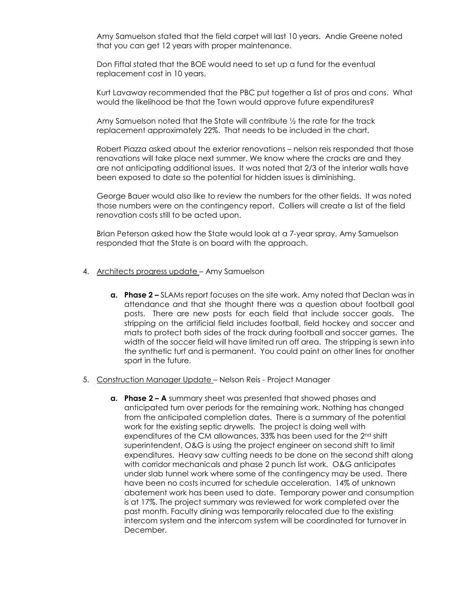Amy Samuelson stated that the field carpet will last 10 years. Andie Greene noted that you can get 12 years with proper maintenance.

Don Fiftal stated that the BOE would need to set up a fund for the eventual replacement cost in 10 years.

Kurt Lavaway recommended that the PBC put together a list of pros and cons. What would the likelihood be that the Town would approve future expenditures?

Amy Samuelson noted that the State will contribute  $\frac{1}{2}$  the rate for the track replacement approximately 22%. That needs to be included in the chart.

Robert Piazza asked about the exterior renovations – nelson reis responded that those renovations will take place next summer. We know where the cracks are and they are not anticipating additional issues. It was noted that 2/3 of the interior walls have been exposed to date so the potential for hidden issues is diminishing.

George Bauer would also like to review the numbers for the other fields. It was noted those numbers were on the contingency report. Colliers will create a list of the field renovation costs still to be acted upon.

Brian Peterson asked how the State would look at a 7-year spray, Amy Samuelson responded that the State is on board with the approach.

- 4. Architects progress update Amy Samuelson
	- **a. Phase 2 –** SLAMs report focuses on the site work. Amy noted that Declan was in attendance and that she thought there was a question about football goal posts. There are new posts for each field that include soccer goals. The stripping on the artificial field includes football, field hockey and soccer and mats to protect both sides of the track during football and soccer games. The width of the soccer field will have limited run off area. The stripping is sewn into the synthetic turf and is permanent. You could paint on other lines for another sport in the future.
- 5. Construction Manager Update Nelson Reis Project Manager
	- **a. Phase 2 – A** summary sheet was presented that showed phases and anticipated turn over periods for the remaining work. Nothing has changed from the anticipated completion dates. There is a summary of the potential work for the existing septic drywells. The project is doing well with expenditures of the CM allowances, 33% has been used for the 2<sup>nd</sup> shift superintendent, O&G is using the project engineer on second shift to limit expenditures. Heavy saw cutting needs to be done on the second shift along with corridor mechanicals and phase 2 punch list work. O&G anticipates under slab tunnel work where some of the contingency may be used. There have been no costs incurred for schedule acceleration. 14% of unknown abatement work has been used to date. Temporary power and consumption is at 17%. The project summary was reviewed for work completed over the past month. Faculty dining was temporarily relocated due to the existing intercom system and the intercom system will be coordinated for turnover in December.